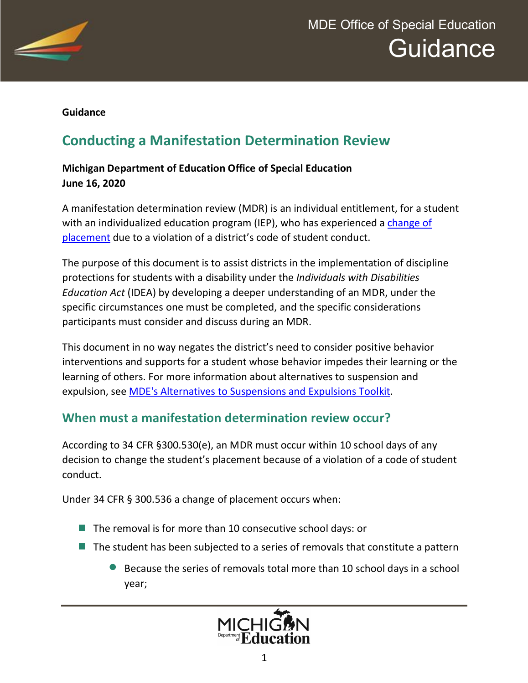

# MDE Office of Special Education **Guidance**

#### **Guidance**

# **Conducting a Manifestation Determination Review**

#### **Michigan Department of Education Office of Special Education June 16, 2020**

A manifestation determination review (MDR) is an individual entitlement, for a student with an individualized education program (IEP), who has experienced a change of [placement](https://www.michigan.gov/documents/mde/DeterminingCOP_694072_7.pdf) due to a violation of a district's code of student conduct.

The purpose of this document is to assist districts in the implementation of discipline protections for students with a disability under the *Individuals with Disabilities Education Act* (IDEA) by developing a deeper understanding of an MDR, under the specific circumstances one must be completed, and the specific considerations participants must consider and discuss during an MDR.

This document in no way negates the district's need to consider positive behavior interventions and supports for a student whose behavior impedes their learning or the learning of others. For more information about alternatives to suspension and expulsion, see [MDE's Alternatives to Suspensions and Expulsions Toolkit](https://www.michigan.gov/mde/0,4615,7-140-74638_72831---,00.html).

#### **When must a manifestation determination review occur?**

According to 34 CFR §300.530(e), an MDR must occur within 10 school days of any decision to change the student's placement because of a violation of a code of student conduct.

Under 34 CFR § 300.536 a change of placement occurs when:

- The removal is for more than 10 consecutive school days: or
- $\blacksquare$  The student has been subjected to a series of removals that constitute a pattern
	- Because the series of removals total more than 10 school days in a school year;

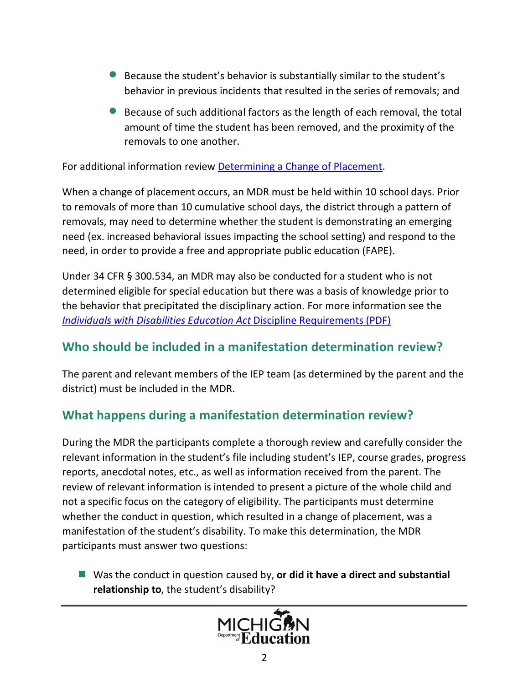- · Because the student's behavior is substantially similar to the student's behavior in previous incidents that resulted in the series of removals; and
- · Because of such additional factors as the length of each removal, the total amount of time the student has been removed, and the proximity of the removals to one another.

For additional information review [Determining a Change of Placement](https://www.michigan.gov/documents/mde/DeterminingCOP_694072_7.pdf).

When a change of placement occurs, an MDR must be held within 10 school days. Prior to removals of more than 10 cumulative school days, the district through a pattern of removals, may need to determine whether the student is demonstrating an emerging need (ex. increased behavioral issues impacting the school setting) and respond to the need, in order to provide a free and appropriate public education (FAPE).

Under 34 CFR § 300.534, an MDR may also be conducted for a student who is not determined eligible for special education but there was a basis of knowledge prior to the behavior that precipitated the disciplinary action. For more information see the *[Individuals with Disabilities Education Act](https://www.michigan.gov/documents/mde/IDEA_DisciplineRequirements_655451_7.pdf)* Discipline Requirements (PDF)

#### **Who should be included in a manifestation determination review?**

The parent and relevant members of the IEP team (as determined by the parent and the district) must be included in the MDR.

### **What happens during a manifestation determination review?**

During the MDR the participants complete a thorough review and carefully consider the relevant information in the student's file including student's IEP, course grades, progress reports, anecdotal notes, etc., as well as information received from the parent. The review of relevant information is intended to present a picture of the whole child and not a specific focus on the category of eligibility. The participants must determine whether the conduct in question, which resulted in a change of placement, was a manifestation of the student's disability. To make this determination, the MDR participants must answer two questions:

■ Was the conduct in question caused by, or did it have a direct and substantial **relationship to**, the student's disability?

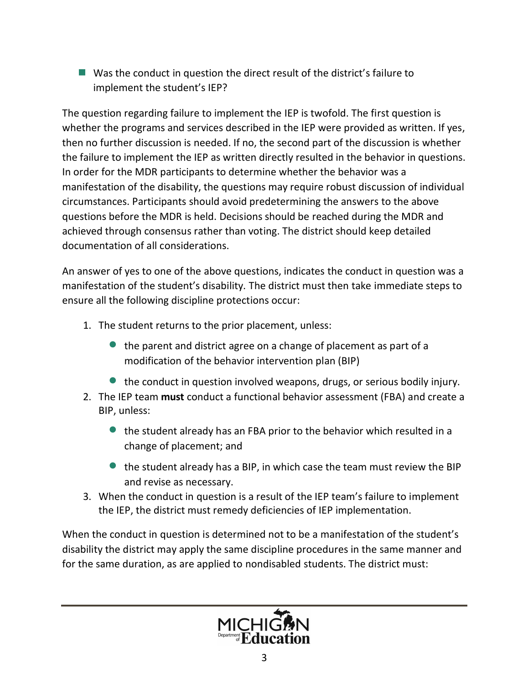■ Was the conduct in question the direct result of the district's failure to implement the student's IEP?

The question regarding failure to implement the IEP is twofold. The first question is whether the programs and services described in the IEP were provided as written. If yes, then no further discussion is needed. If no, the second part of the discussion is whether the failure to implement the IEP as written directly resulted in the behavior in questions. In order for the MDR participants to determine whether the behavior was a manifestation of the disability, the questions may require robust discussion of individual circumstances. Participants should avoid predetermining the answers to the above questions before the MDR is held. Decisions should be reached during the MDR and achieved through consensus rather than voting. The district should keep detailed documentation of all considerations.

An answer of yes to one of the above questions, indicates the conduct in question was a manifestation of the student's disability. The district must then take immediate steps to ensure all the following discipline protections occur:

- 1. The student returns to the prior placement, unless:
	- $\bullet$  the parent and district agree on a change of placement as part of a modification of the behavior intervention plan (BIP)
	- the conduct in question involved weapons, drugs, or serious bodily injury.
- 2. The IEP team **must** conduct a functional behavior assessment (FBA) and create a BIP, unless:
	- · the student already has an FBA prior to the behavior which resulted in a change of placement; and
	- the student already has a BIP, in which case the team must review the BIP and revise as necessary.
- 3. When the conduct in question is a result of the IEP team's failure to implement the IEP, the district must remedy deficiencies of IEP implementation.

When the conduct in question is determined not to be a manifestation of the student's disability the district may apply the same discipline procedures in the same manner and for the same duration, as are applied to nondisabled students. The district must:

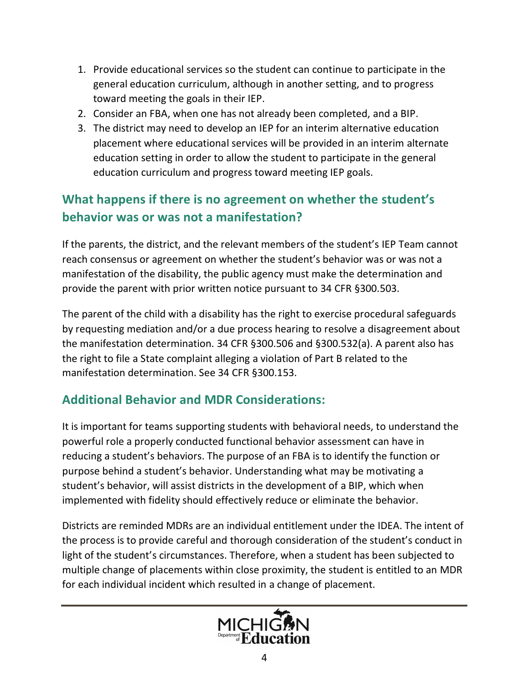- 1. Provide educational services so the student can continue to participate in the general education curriculum, although in another setting, and to progress toward meeting the goals in their IEP.
- 2. Consider an FBA, when one has not already been completed, and a BIP.
- 3. The district may need to develop an IEP for an interim alternative education placement where educational services will be provided in an interim alternate education setting in order to allow the student to participate in the general education curriculum and progress toward meeting IEP goals.

## **What happens if there is no agreement on whether the student's behavior was or was not a manifestation?**

If the parents, the district, and the relevant members of the student's IEP Team cannot reach consensus or agreement on whether the student's behavior was or was not a manifestation of the disability, the public agency must make the determination and provide the parent with prior written notice pursuant to 34 CFR §300.503.

The parent of the child with a disability has the right to exercise procedural safeguards by requesting mediation and/or a due process hearing to resolve a disagreement about the manifestation determination. 34 CFR §300.506 and §300.532(a). A parent also has the right to file a State complaint alleging a violation of Part B related to the manifestation determination. See 34 CFR §300.153.

## **Additional Behavior and MDR Considerations:**

It is important for teams supporting students with behavioral needs, to understand the powerful role a properly conducted functional behavior assessment can have in reducing a student's behaviors. The purpose of an FBA is to identify the function or purpose behind a student's behavior. Understanding what may be motivating a student's behavior, will assist districts in the development of a BIP, which when implemented with fidelity should effectively reduce or eliminate the behavior.

Districts are reminded MDRs are an individual entitlement under the IDEA. The intent of the process is to provide careful and thorough consideration of the student's conduct in light of the student's circumstances. Therefore, when a student has been subjected to multiple change of placements within close proximity, the student is entitled to an MDR for each individual incident which resulted in a change of placement.